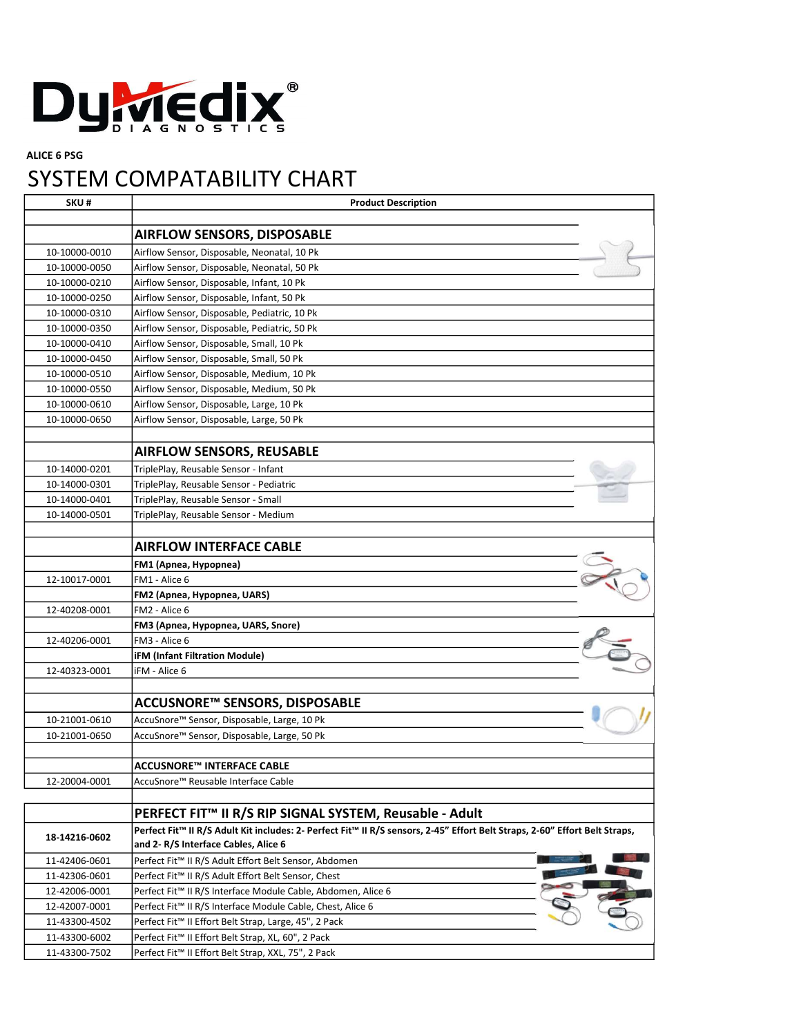

## ALICE 6 PSG

## SYSTEM COMPATABILITY CHART

| SKU#          | <b>Product Description</b>                                                                                                  |  |
|---------------|-----------------------------------------------------------------------------------------------------------------------------|--|
|               |                                                                                                                             |  |
|               | <b>AIRFLOW SENSORS, DISPOSABLE</b>                                                                                          |  |
| 10-10000-0010 | Airflow Sensor, Disposable, Neonatal, 10 Pk                                                                                 |  |
| 10-10000-0050 | Airflow Sensor, Disposable, Neonatal, 50 Pk                                                                                 |  |
| 10-10000-0210 | Airflow Sensor, Disposable, Infant, 10 Pk                                                                                   |  |
| 10-10000-0250 | Airflow Sensor, Disposable, Infant, 50 Pk                                                                                   |  |
| 10-10000-0310 | Airflow Sensor, Disposable, Pediatric, 10 Pk                                                                                |  |
| 10-10000-0350 | Airflow Sensor, Disposable, Pediatric, 50 Pk                                                                                |  |
| 10-10000-0410 | Airflow Sensor, Disposable, Small, 10 Pk                                                                                    |  |
| 10-10000-0450 | Airflow Sensor, Disposable, Small, 50 Pk                                                                                    |  |
| 10-10000-0510 | Airflow Sensor, Disposable, Medium, 10 Pk                                                                                   |  |
| 10-10000-0550 | Airflow Sensor, Disposable, Medium, 50 Pk                                                                                   |  |
| 10-10000-0610 | Airflow Sensor, Disposable, Large, 10 Pk                                                                                    |  |
| 10-10000-0650 | Airflow Sensor, Disposable, Large, 50 Pk                                                                                    |  |
|               |                                                                                                                             |  |
|               | <b>AIRFLOW SENSORS, REUSABLE</b>                                                                                            |  |
| 10-14000-0201 | TriplePlay, Reusable Sensor - Infant                                                                                        |  |
| 10-14000-0301 | TriplePlay, Reusable Sensor - Pediatric                                                                                     |  |
| 10-14000-0401 | TriplePlay, Reusable Sensor - Small                                                                                         |  |
| 10-14000-0501 | TriplePlay, Reusable Sensor - Medium                                                                                        |  |
|               |                                                                                                                             |  |
|               | <b>AIRFLOW INTERFACE CABLE</b>                                                                                              |  |
|               |                                                                                                                             |  |
|               | FM1 (Apnea, Hypopnea)                                                                                                       |  |
| 12-10017-0001 | FM1 - Alice 6                                                                                                               |  |
|               | FM2 (Apnea, Hypopnea, UARS)                                                                                                 |  |
| 12-40208-0001 | FM2 - Alice 6                                                                                                               |  |
|               | FM3 (Apnea, Hypopnea, UARS, Snore)                                                                                          |  |
| 12-40206-0001 | FM3 - Alice 6                                                                                                               |  |
|               | <b>iFM (Infant Filtration Module)</b>                                                                                       |  |
| 12-40323-0001 | iFM - Alice 6                                                                                                               |  |
|               |                                                                                                                             |  |
|               | ACCUSNORE™ SENSORS, DISPOSABLE                                                                                              |  |
| 10-21001-0610 | AccuSnore™ Sensor, Disposable, Large, 10 Pk                                                                                 |  |
| 10-21001-0650 | AccuSnore™ Sensor, Disposable, Large, 50 Pk                                                                                 |  |
|               |                                                                                                                             |  |
|               | ACCUSNORE™ INTERFACE CABLE                                                                                                  |  |
| 12-20004-0001 | AccuSnore™ Reusable Interface Cable                                                                                         |  |
|               |                                                                                                                             |  |
|               | PERFECT FIT™ II R/S RIP SIGNAL SYSTEM, Reusable - Adult                                                                     |  |
| 18-14216-0602 | Perfect Fit™ II R/S Adult Kit includes: 2- Perfect Fit™ II R/S sensors, 2-45" Effort Belt Straps, 2-60" Effort Belt Straps, |  |
|               | and 2-R/S Interface Cables, Alice 6                                                                                         |  |
| 11-42406-0601 | Perfect Fit™ II R/S Adult Effort Belt Sensor, Abdomen                                                                       |  |
| 11-42306-0601 | Perfect Fit™ II R/S Adult Effort Belt Sensor, Chest                                                                         |  |
| 12-42006-0001 | Perfect Fit™ II R/S Interface Module Cable, Abdomen, Alice 6                                                                |  |
| 12-42007-0001 | Perfect Fit™ II R/S Interface Module Cable, Chest, Alice 6                                                                  |  |
| 11-43300-4502 | Perfect Fit <sup>™</sup> II Effort Belt Strap, Large, 45", 2 Pack                                                           |  |
| 11-43300-6002 | Perfect Fit™ II Effort Belt Strap, XL, 60", 2 Pack                                                                          |  |
| 11-43300-7502 | Perfect Fit™ II Effort Belt Strap, XXL, 75", 2 Pack                                                                         |  |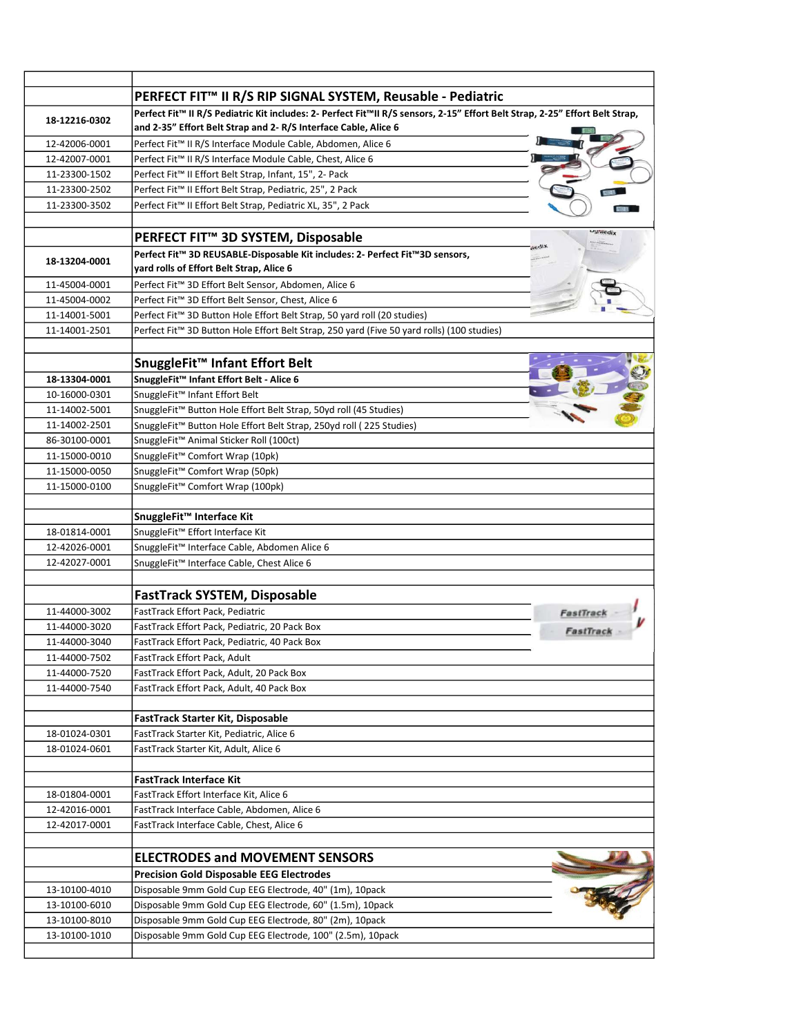|                                | PERFECT FIT™ II R/S RIP SIGNAL SYSTEM, Reusable - Pediatric                                                                  |                 |
|--------------------------------|------------------------------------------------------------------------------------------------------------------------------|-----------------|
| 18-12216-0302                  | Perfect Fit™ II R/S Pediatric Kit includes: 2- Perfect Fit™II R/S sensors, 2-15" Effort Belt Strap, 2-25" Effort Belt Strap, |                 |
|                                | and 2-35" Effort Belt Strap and 2-R/S Interface Cable, Alice 6                                                               |                 |
| 12-42006-0001                  | Perfect Fit™ II R/S Interface Module Cable, Abdomen, Alice 6                                                                 |                 |
| 12-42007-0001                  | Perfect Fit™ II R/S Interface Module Cable, Chest, Alice 6                                                                   |                 |
| 11-23300-1502                  | Perfect Fit™ II Effort Belt Strap, Infant, 15", 2- Pack                                                                      |                 |
| 11-23300-2502                  | Perfect Fit <sup>™</sup> II Effort Belt Strap, Pediatric, 25", 2 Pack                                                        |                 |
| 11-23300-3502                  | Perfect Fit™ II Effort Belt Strap, Pediatric XL, 35", 2 Pack                                                                 |                 |
|                                | PERFECT FIT <sup>™</sup> 3D SYSTEM, Disposable                                                                               | <b>Uywiedix</b> |
|                                | Perfect Fit™ 3D REUSABLE-Disposable Kit includes: 2- Perfect Fit™3D sensors,                                                 |                 |
| 18-13204-0001                  | yard rolls of Effort Belt Strap, Alice 6                                                                                     |                 |
| 11-45004-0001                  | Perfect Fit™ 3D Effort Belt Sensor, Abdomen, Alice 6                                                                         |                 |
| 11-45004-0002                  | Perfect Fit™ 3D Effort Belt Sensor, Chest, Alice 6                                                                           |                 |
| 11-14001-5001                  | Perfect Fit™ 3D Button Hole Effort Belt Strap, 50 yard roll (20 studies)                                                     |                 |
| 11-14001-2501                  | Perfect Fit™ 3D Button Hole Effort Belt Strap, 250 yard (Five 50 yard rolls) (100 studies)                                   |                 |
|                                |                                                                                                                              |                 |
|                                | SnuggleFit™ Infant Effort Belt                                                                                               |                 |
| 18-13304-0001                  | SnuggleFit™ Infant Effort Belt - Alice 6                                                                                     |                 |
| 10-16000-0301                  | SnuggleFit™ Infant Effort Belt                                                                                               |                 |
| 11-14002-5001                  | SnuggleFit™ Button Hole Effort Belt Strap, 50yd roll (45 Studies)                                                            |                 |
| 11-14002-2501                  | SnuggleFit <sup>™</sup> Button Hole Effort Belt Strap, 250yd roll (225 Studies)                                              |                 |
| 86-30100-0001                  | SnuggleFit™ Animal Sticker Roll (100ct)                                                                                      |                 |
| 11-15000-0010                  | SnuggleFit <sup>™</sup> Comfort Wrap (10pk)                                                                                  |                 |
| 11-15000-0050                  | SnuggleFit™ Comfort Wrap (50pk)                                                                                              |                 |
| 11-15000-0100                  | SnuggleFit™ Comfort Wrap (100pk)                                                                                             |                 |
|                                | SnuggleFit™ Interface Kit                                                                                                    |                 |
| 18-01814-0001                  | SnuggleFit <sup>™</sup> Effort Interface Kit                                                                                 |                 |
| 12-42026-0001                  | SnuggleFit™ Interface Cable, Abdomen Alice 6                                                                                 |                 |
| 12-42027-0001                  | SnuggleFit™ Interface Cable, Chest Alice 6                                                                                   |                 |
|                                |                                                                                                                              |                 |
|                                | <b>FastTrack SYSTEM, Disposable</b>                                                                                          |                 |
| 11-44000-3002                  | FastTrack Effort Pack, Pediatric                                                                                             | <b>FastTrac</b> |
| 11-44000-3020                  | FastTrack Effort Pack, Pediatric, 20 Pack Box                                                                                | <b>FastTrac</b> |
| 11-44000-3040                  | FastTrack Effort Pack, Pediatric, 40 Pack Box                                                                                |                 |
| 11-44000-7502                  | FastTrack Effort Pack, Adult                                                                                                 |                 |
| 11-44000-7520                  | FastTrack Effort Pack, Adult, 20 Pack Box                                                                                    |                 |
| 11-44000-7540                  | FastTrack Effort Pack, Adult, 40 Pack Box                                                                                    |                 |
|                                | FastTrack Starter Kit, Disposable                                                                                            |                 |
| 18-01024-0301                  | FastTrack Starter Kit, Pediatric, Alice 6                                                                                    |                 |
| 18-01024-0601                  | FastTrack Starter Kit, Adult, Alice 6                                                                                        |                 |
|                                | <b>FastTrack Interface Kit</b>                                                                                               |                 |
|                                | FastTrack Effort Interface Kit, Alice 6                                                                                      |                 |
| 18-01804-0001                  |                                                                                                                              |                 |
| 12-42016-0001                  | FastTrack Interface Cable, Abdomen, Alice 6                                                                                  |                 |
| 12-42017-0001                  | FastTrack Interface Cable, Chest, Alice 6                                                                                    |                 |
|                                |                                                                                                                              |                 |
|                                | <b>ELECTRODES and MOVEMENT SENSORS</b>                                                                                       |                 |
|                                | <b>Precision Gold Disposable EEG Electrodes</b>                                                                              |                 |
| 13-10100-4010                  | Disposable 9mm Gold Cup EEG Electrode, 40" (1m), 10pack                                                                      |                 |
| 13-10100-6010<br>13-10100-8010 | Disposable 9mm Gold Cup EEG Electrode, 60" (1.5m), 10pack<br>Disposable 9mm Gold Cup EEG Electrode, 80" (2m), 10pack         |                 |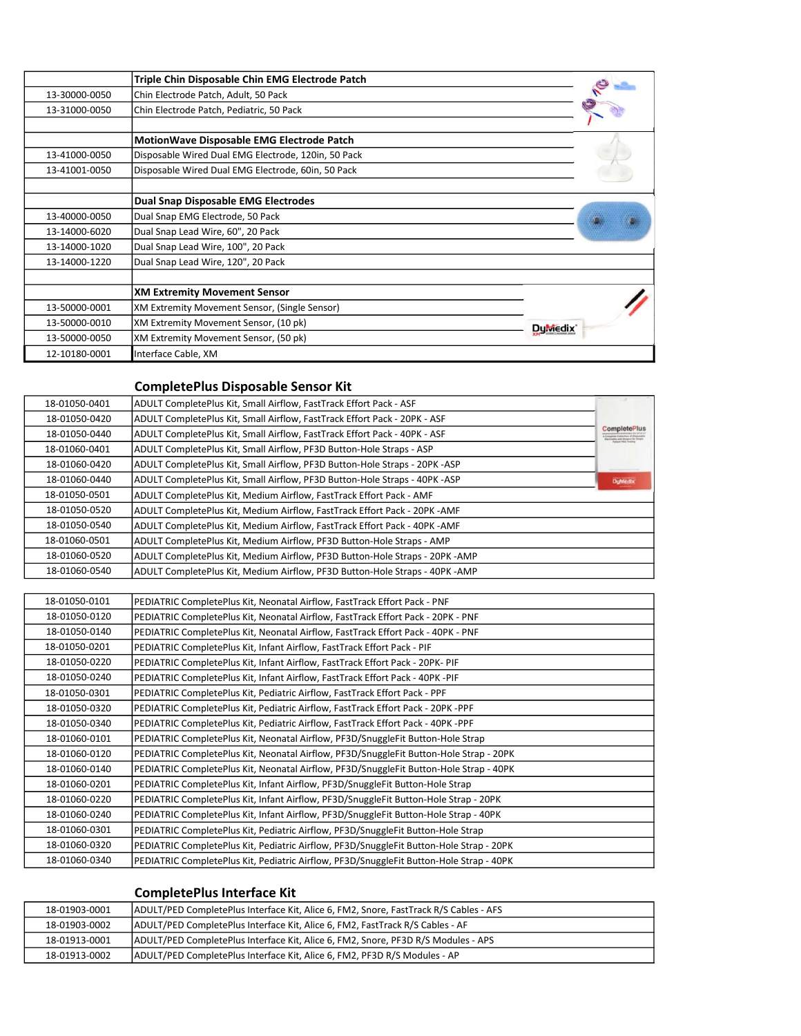|               | Triple Chin Disposable Chin EMG Electrode Patch      |                      |
|---------------|------------------------------------------------------|----------------------|
| 13-30000-0050 | Chin Electrode Patch, Adult, 50 Pack                 |                      |
| 13-31000-0050 | Chin Electrode Patch, Pediatric, 50 Pack             |                      |
|               | MotionWave Disposable EMG Electrode Patch            |                      |
| 13-41000-0050 | Disposable Wired Dual EMG Electrode, 120in, 50 Pack  |                      |
| 13-41001-0050 | Disposable Wired Dual EMG Electrode, 60in, 50 Pack   |                      |
|               | <b>Dual Snap Disposable EMG Electrodes</b>           |                      |
| 13-40000-0050 | Dual Snap EMG Electrode, 50 Pack                     |                      |
| 13-14000-6020 | Dual Snap Lead Wire, 60", 20 Pack                    |                      |
| 13-14000-1020 | Dual Snap Lead Wire, 100", 20 Pack                   |                      |
| 13-14000-1220 | Dual Snap Lead Wire, 120", 20 Pack                   |                      |
|               |                                                      |                      |
|               | <b>XM Extremity Movement Sensor</b>                  |                      |
| 13-50000-0001 | <b>XM Extremity Movement Sensor, (Single Sensor)</b> |                      |
| 13-50000-0010 | XM Extremity Movement Sensor, (10 pk)                | Du <sub>wiedix</sub> |
| 13-50000-0050 | XM Extremity Movement Sensor, (50 pk)                |                      |
| 12-10180-0001 | Interface Cable, XM                                  |                      |

## CompletePlus Disposable Sensor Kit

|                                                     | ADULT CompletePlus Kit, Small Airflow, FastTrack Effort Pack - ASF          | 18-01050-0401 |
|-----------------------------------------------------|-----------------------------------------------------------------------------|---------------|
|                                                     | ADULT CompletePlus Kit, Small Airflow, FastTrack Effort Pack - 20PK - ASF   | 18-01050-0420 |
| <b>CompletePlus</b><br>des peut Swrappin for Street | ADULT CompletePlus Kit, Small Airflow, FastTrack Effort Pack - 40PK - ASF   | 18-01050-0440 |
|                                                     | ADULT CompletePlus Kit, Small Airflow, PF3D Button-Hole Straps - ASP        | 18-01060-0401 |
|                                                     | ADULT CompletePlus Kit, Small Airflow, PF3D Button-Hole Straps - 20PK -ASP  | 18-01060-0420 |
|                                                     | ADULT CompletePlus Kit, Small Airflow, PF3D Button-Hole Straps - 40PK -ASP  | 18-01060-0440 |
|                                                     | ADULT CompletePlus Kit, Medium Airflow, FastTrack Effort Pack - AMF         | 18-01050-0501 |
|                                                     | ADULT CompletePlus Kit, Medium Airflow, FastTrack Effort Pack - 20PK - AMF  | 18-01050-0520 |
|                                                     | ADULT CompletePlus Kit, Medium Airflow, FastTrack Effort Pack - 40PK - AMF  | 18-01050-0540 |
|                                                     | ADULT CompletePlus Kit, Medium Airflow, PF3D Button-Hole Straps - AMP       | 18-01060-0501 |
|                                                     | ADULT CompletePlus Kit, Medium Airflow, PF3D Button-Hole Straps - 20PK -AMP | 18-01060-0520 |
|                                                     | ADULT CompletePlus Kit, Medium Airflow, PF3D Button-Hole Straps - 40PK -AMP | 18-01060-0540 |

| 18-01050-0101 | PEDIATRIC CompletePlus Kit, Neonatal Airflow, FastTrack Effort Pack - PNF               |
|---------------|-----------------------------------------------------------------------------------------|
| 18-01050-0120 | PEDIATRIC CompletePlus Kit, Neonatal Airflow, FastTrack Effort Pack - 20PK - PNF        |
| 18-01050-0140 | PEDIATRIC CompletePlus Kit, Neonatal Airflow, FastTrack Effort Pack - 40PK - PNF        |
| 18-01050-0201 | PEDIATRIC CompletePlus Kit, Infant Airflow, FastTrack Effort Pack - PIF                 |
| 18-01050-0220 | PEDIATRIC CompletePlus Kit, Infant Airflow, FastTrack Effort Pack - 20PK- PIF           |
| 18-01050-0240 | PEDIATRIC CompletePlus Kit, Infant Airflow, FastTrack Effort Pack - 40PK -PIF           |
| 18-01050-0301 | PEDIATRIC CompletePlus Kit, Pediatric Airflow, FastTrack Effort Pack - PPF              |
| 18-01050-0320 | PEDIATRIC CompletePlus Kit, Pediatric Airflow, FastTrack Effort Pack - 20PK -PPF        |
| 18-01050-0340 | PEDIATRIC CompletePlus Kit, Pediatric Airflow, FastTrack Effort Pack - 40PK -PPF        |
| 18-01060-0101 | PEDIATRIC CompletePlus Kit, Neonatal Airflow, PF3D/SnuggleFit Button-Hole Strap         |
| 18-01060-0120 | PEDIATRIC CompletePlus Kit, Neonatal Airflow, PF3D/SnuggleFit Button-Hole Strap - 20PK  |
| 18-01060-0140 | PEDIATRIC CompletePlus Kit, Neonatal Airflow, PF3D/SnuggleFit Button-Hole Strap - 40PK  |
| 18-01060-0201 | PEDIATRIC CompletePlus Kit, Infant Airflow, PF3D/SnuggleFit Button-Hole Strap           |
| 18-01060-0220 | PEDIATRIC CompletePlus Kit, Infant Airflow, PF3D/SnuggleFit Button-Hole Strap - 20PK    |
| 18-01060-0240 | PEDIATRIC CompletePlus Kit, Infant Airflow, PF3D/SnuggleFit Button-Hole Strap - 40PK    |
| 18-01060-0301 | PEDIATRIC CompletePlus Kit, Pediatric Airflow, PF3D/SnuggleFit Button-Hole Strap        |
| 18-01060-0320 | PEDIATRIC CompletePlus Kit, Pediatric Airflow, PF3D/SnuggleFit Button-Hole Strap - 20PK |
| 18-01060-0340 | PEDIATRIC CompletePlus Kit, Pediatric Airflow, PF3D/SnuggleFit Button-Hole Strap - 40PK |

## CompletePlus Interface Kit

| 18-01903-0001 | ADULT/PED CompletePlus Interface Kit, Alice 6, FM2, Snore, FastTrack R/S Cables - AFS |
|---------------|---------------------------------------------------------------------------------------|
| 18-01903-0002 | ADULT/PED CompletePlus Interface Kit, Alice 6, FM2, FastTrack R/S Cables - AF         |
| 18-01913-0001 | ADULT/PED CompletePlus Interface Kit, Alice 6, FM2, Snore, PF3D R/S Modules - APS     |
| 18-01913-0002 | ADULT/PED CompletePlus Interface Kit, Alice 6, FM2, PF3D R/S Modules - AP             |